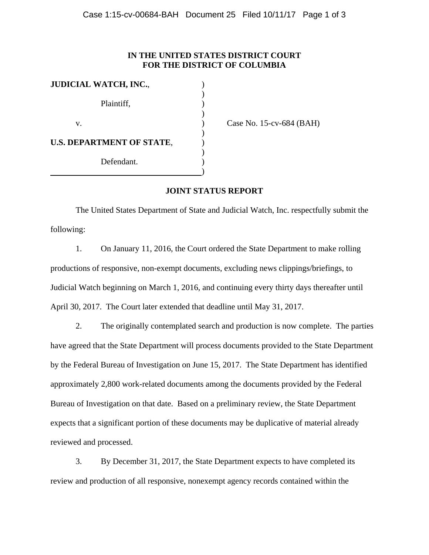## **IN THE UNITED STATES DISTRICT COURT FOR THE DISTRICT OF COLUMBIA**

| <b>JUDICIAL WATCH, INC.,</b>     |  |
|----------------------------------|--|
|                                  |  |
| Plaintiff,                       |  |
|                                  |  |
| v.                               |  |
|                                  |  |
| <b>U.S. DEPARTMENT OF STATE,</b> |  |
|                                  |  |
| Defendant.                       |  |
|                                  |  |

(ase No. 15-cv-684 (BAH)

## **JOINT STATUS REPORT**

 The United States Department of State and Judicial Watch, Inc. respectfully submit the following:

 1. On January 11, 2016, the Court ordered the State Department to make rolling productions of responsive, non-exempt documents, excluding news clippings/briefings, to Judicial Watch beginning on March 1, 2016, and continuing every thirty days thereafter until April 30, 2017. The Court later extended that deadline until May 31, 2017.

 2. The originally contemplated search and production is now complete. The parties have agreed that the State Department will process documents provided to the State Department by the Federal Bureau of Investigation on June 15, 2017. The State Department has identified approximately 2,800 work-related documents among the documents provided by the Federal Bureau of Investigation on that date. Based on a preliminary review, the State Department expects that a significant portion of these documents may be duplicative of material already reviewed and processed.

 3. By December 31, 2017, the State Department expects to have completed its review and production of all responsive, nonexempt agency records contained within the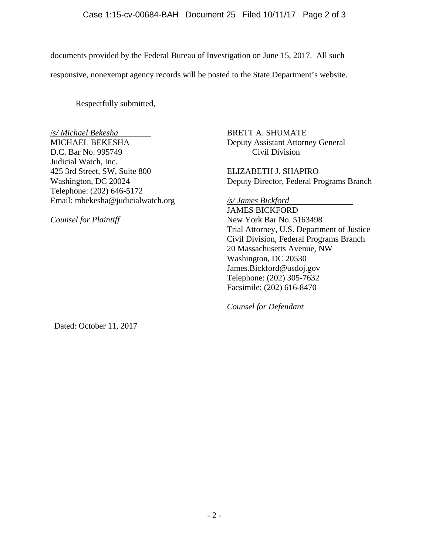documents provided by the Federal Bureau of Investigation on June 15, 2017. All such responsive, nonexempt agency records will be posted to the State Department's website.

Respectfully submitted,

/*s/ Michael Bekesha* BRETT A. SHUMATE D.C. Bar No. 995749 Civil Division Judicial Watch, Inc. 425 3rd Street, SW, Suite 800 ELIZABETH J. SHAPIRO Telephone: (202) 646-5172 Email: mbekesha@judicialwatch.org */s/ James Bickford*

Deputy Assistant Attorney General

Washington, DC 20024 Deputy Director, Federal Programs Branch

 JAMES BICKFORD *Counsel for Plaintiff* New York Bar No. 5163498 Trial Attorney, U.S. Department of Justice Civil Division, Federal Programs Branch 20 Massachusetts Avenue, NW Washington, DC 20530 James.Bickford@usdoj.gov Telephone: (202) 305-7632 Facsimile: (202) 616-8470

*Counsel for Defendant* 

Dated: October 11, 2017